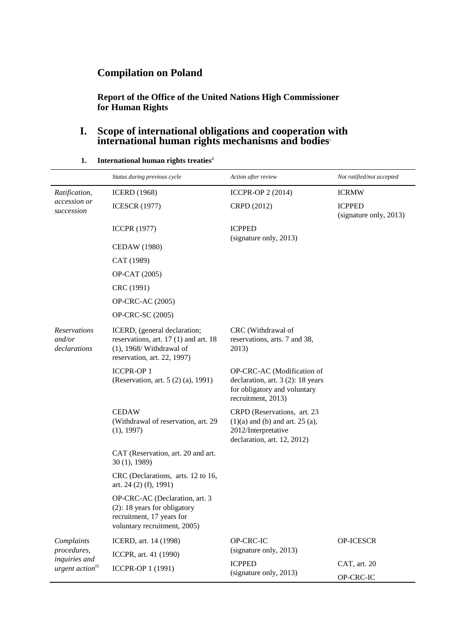# **Compilation on Poland**

**Report of the Office of the United Nations High Commissioner for Human Rights**

### **I. Scope of international obligations and cooperation with international human rights mechanisms and bodies**<sup>i</sup>

|                                                                            | Status during previous cycle                                                                                                        | Action after review                                                                                                         | Not ratified/not accepted               |  |
|----------------------------------------------------------------------------|-------------------------------------------------------------------------------------------------------------------------------------|-----------------------------------------------------------------------------------------------------------------------------|-----------------------------------------|--|
| Ratification,                                                              | <b>ICERD</b> (1968)                                                                                                                 | ICCPR-OP 2 (2014)                                                                                                           | <b>ICRMW</b>                            |  |
| accession or<br>succession                                                 | <b>ICESCR (1977)</b>                                                                                                                | CRPD (2012)                                                                                                                 | <b>ICPPED</b><br>(signature only, 2013) |  |
|                                                                            | <b>ICCPR (1977)</b>                                                                                                                 | <b>ICPPED</b><br>(signature only, 2013)                                                                                     |                                         |  |
|                                                                            | <b>CEDAW</b> (1980)                                                                                                                 |                                                                                                                             |                                         |  |
|                                                                            | CAT (1989)                                                                                                                          |                                                                                                                             |                                         |  |
|                                                                            | OP-CAT (2005)                                                                                                                       |                                                                                                                             |                                         |  |
|                                                                            | CRC (1991)                                                                                                                          |                                                                                                                             |                                         |  |
|                                                                            | OP-CRC-AC (2005)                                                                                                                    |                                                                                                                             |                                         |  |
|                                                                            | OP-CRC-SC (2005)                                                                                                                    |                                                                                                                             |                                         |  |
| <b>Reservations</b><br>and/or<br>declarations                              | ICERD, (general declaration;<br>reservations, art. 17 (1) and art. 18<br>$(1)$ , 1968/ Withdrawal of<br>reservation, art. 22, 1997) | CRC (Withdrawal of<br>reservations, arts. 7 and 38,<br>2013)                                                                |                                         |  |
|                                                                            | <b>ICCPR-OP1</b><br>(Reservation, art. 5 (2) (a), 1991)                                                                             | OP-CRC-AC (Modification of<br>declaration, art. 3 (2): 18 years<br>for obligatory and voluntary<br>recruitment, 2013)       |                                         |  |
|                                                                            | <b>CEDAW</b><br>(Withdrawal of reservation, art. 29)<br>(1), 1997)                                                                  | CRPD (Reservations, art. 23<br>$(1)(a)$ and $(b)$ and art. 25 $(a)$ ,<br>2012/Interpretative<br>declaration, art. 12, 2012) |                                         |  |
|                                                                            | CAT (Reservation, art. 20 and art.<br>30(1), 1989                                                                                   |                                                                                                                             |                                         |  |
|                                                                            | CRC (Declarations, arts. 12 to 16,<br>art. 24 $(2)$ $(f)$ , 1991)                                                                   |                                                                                                                             |                                         |  |
|                                                                            | OP-CRC-AC (Declaration, art. 3<br>$(2)$ : 18 years for obligatory<br>recruitment, 17 years for<br>voluntary recruitment, 2005)      |                                                                                                                             |                                         |  |
| Complaints<br>procedures,<br>inquiries and<br>urgent action <sup>iii</sup> | ICERD, art. 14 (1998)                                                                                                               | OP-CRC-IC                                                                                                                   | OP-ICESCR                               |  |
|                                                                            | ICCPR, art. 41 (1990)                                                                                                               | (signature only, 2013)                                                                                                      |                                         |  |
|                                                                            | ICCPR-OP 1 (1991)                                                                                                                   | <b>ICPPED</b><br>(signature only, 2013)                                                                                     | CAT, art. 20                            |  |
|                                                                            |                                                                                                                                     |                                                                                                                             | OP-CRC-IC                               |  |

**1. International human rights treaties**ii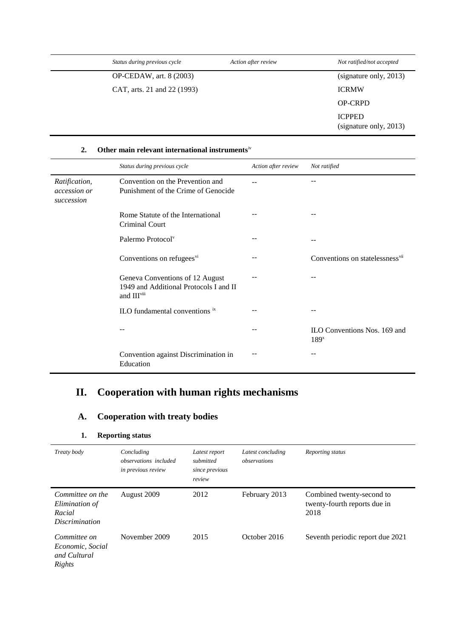| Status during previous cycle | Action after review | Not ratified/not accepted               |
|------------------------------|---------------------|-----------------------------------------|
| OP-CEDAW, art. 8 (2003)      |                     | (signature only, 2013)                  |
| CAT, arts. 21 and 22 (1993)  |                     | <b>ICRMW</b>                            |
|                              |                     | <b>OP-CRPD</b>                          |
|                              |                     | <b>ICPPED</b><br>(signature only, 2013) |

#### **2. Other main relevant international instruments**iv

|                                             | Status during previous cycle                                                                         | Action after review | Not ratified                                     |
|---------------------------------------------|------------------------------------------------------------------------------------------------------|---------------------|--------------------------------------------------|
| Ratification,<br>accession or<br>succession | Convention on the Prevention and<br>Punishment of the Crime of Genocide                              |                     |                                                  |
|                                             | Rome Statute of the International<br>Criminal Court                                                  |                     |                                                  |
|                                             | Palermo Protocol <sup>v</sup>                                                                        |                     |                                                  |
|                                             | Conventions on refugees <sup>vi</sup>                                                                |                     | Conventions on statelessness <sup>vii</sup>      |
|                                             | Geneva Conventions of 12 August<br>1949 and Additional Protocols I and II<br>and III <sup>viii</sup> |                     |                                                  |
|                                             | ILO fundamental conventions ix                                                                       |                     |                                                  |
|                                             |                                                                                                      |                     | ILO Conventions Nos. 169 and<br>189 <sup>x</sup> |
|                                             | Convention against Discrimination in<br>Education                                                    |                     |                                                  |

# **II. Cooperation with human rights mechanisms**

## **A. Cooperation with treaty bodies**

### **1. Reporting status**

| Treaty body                                                           | Concluding<br><i>observations included</i><br>in previous review | Latest report<br>submitted<br>since previous<br>review | Latest concluding<br>observations | Reporting status                                                  |
|-----------------------------------------------------------------------|------------------------------------------------------------------|--------------------------------------------------------|-----------------------------------|-------------------------------------------------------------------|
| Committee on the<br>Elimination of<br>Racial<br><i>Discrimination</i> | August 2009                                                      | 2012                                                   | February 2013                     | Combined twenty-second to<br>twenty-fourth reports due in<br>2018 |
| Committee on<br>Economic, Social<br>and Cultural<br>Rights            | November 2009                                                    | 2015                                                   | October 2016                      | Seventh periodic report due 2021                                  |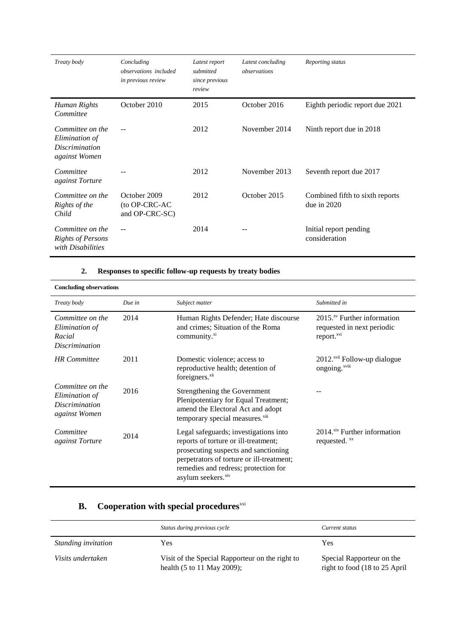| Treaty body                                                                  | Concluding<br>observations included<br>in previous review | Latest report<br>submitted<br>since previous<br>review | Latest concluding<br>observations | Reporting status                                 |
|------------------------------------------------------------------------------|-----------------------------------------------------------|--------------------------------------------------------|-----------------------------------|--------------------------------------------------|
| Human Rights<br>Committee                                                    | October 2010                                              | 2015                                                   | October 2016                      | Eighth periodic report due 2021                  |
| Committee on the<br>Elimination of<br><i>Discrimination</i><br>against Women |                                                           | 2012                                                   | November 2014                     | Ninth report due in 2018                         |
| Committee<br><i>against Torture</i>                                          |                                                           | 2012                                                   | November 2013                     | Seventh report due 2017                          |
| Committee on the<br>Rights of the<br>Child                                   | October 2009<br>(to OP-CRC-AC<br>and OP-CRC-SC)           | 2012                                                   | October 2015                      | Combined fifth to sixth reports<br>due in $2020$ |
| Committee on the<br><b>Rights of Persons</b><br>with Disabilities            |                                                           | 2014                                                   |                                   | Initial report pending<br>consideration          |

### **2. Responses to specific follow-up requests by treaty bodies**

| <b>Concluding observations</b>                                        |        |                                                                                                                                                                                                                                              |                                                                                      |
|-----------------------------------------------------------------------|--------|----------------------------------------------------------------------------------------------------------------------------------------------------------------------------------------------------------------------------------------------|--------------------------------------------------------------------------------------|
| Treaty body                                                           | Due in | Subject matter                                                                                                                                                                                                                               | Submitted in                                                                         |
| Committee on the<br>Elimination of<br>Racial<br>Discrimination        | 2014   | Human Rights Defender; Hate discourse<br>and crimes; Situation of the Roma<br>community. <sup>xi</sup>                                                                                                                                       | $2015xy$ Further information<br>requested in next periodic<br>report. <sup>xvi</sup> |
| <b>HR</b> Committee                                                   | 2011   | Domestic violence; access to<br>reproductive health; detention of<br>foreigners. <sup>xii</sup>                                                                                                                                              | 2012. <sup>xvii</sup> Follow-up dialogue<br>ongoing. <sup>xviii</sup>                |
| Committee on the<br>Elimination of<br>Discrimination<br>against Women | 2016   | Strengthening the Government<br>Plenipotentiary for Equal Treatment;<br>amend the Electoral Act and adopt<br>temporary special measures. <sup>xiii</sup>                                                                                     |                                                                                      |
| Committee<br>against Torture                                          | 2014   | Legal safeguards; investigations into<br>reports of torture or ill-treatment;<br>prosecuting suspects and sanctioning<br>perpetrators of torture or ill-treatment;<br>remedies and redress; protection for<br>asylum seekers. <sup>xiv</sup> | 2014. <sup>xix</sup> Further information<br>requested. xx                            |

## **B.** Cooperation with special procedures<sup>xxi</sup>

|                     | Status during previous cycle                                                  | Current status                                             |
|---------------------|-------------------------------------------------------------------------------|------------------------------------------------------------|
| Standing invitation | Yes                                                                           | Yes                                                        |
| Visits undertaken   | Visit of the Special Rapporteur on the right to<br>health (5 to 11 May 2009); | Special Rapporteur on the<br>right to food (18 to 25 April |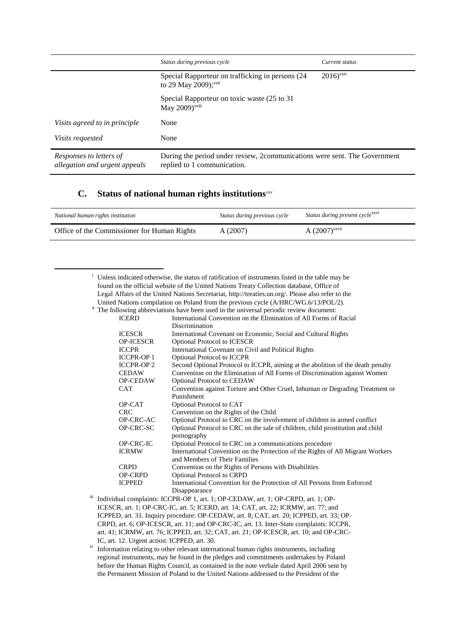|                                                          | Status during previous cycle                                                                             | Current status         |
|----------------------------------------------------------|----------------------------------------------------------------------------------------------------------|------------------------|
|                                                          | Special Rapporteur on trafficking in persons (24)<br>to 29 May 2009); <sup>xxii</sup>                    | $2016$ <sup>xxiv</sup> |
|                                                          | Special Rapporteur on toxic waste (25 to 31)<br>May 2009) <sup>xxiii</sup>                               |                        |
| Visits agreed to in principle                            | None                                                                                                     |                        |
| <i>Visits requested</i>                                  | None                                                                                                     |                        |
| Responses to letters of<br>allegation and urgent appeals | During the period under review, 2communications were sent. The Government<br>replied to 1 communication. |                        |

#### **C.** Status of national human rights institutions<sup>xxv</sup>

1

| National human rights institution           | Status during previous cycle | Status during present cycle <sup>xxvi</sup> |
|---------------------------------------------|------------------------------|---------------------------------------------|
| Office of the Commissioner for Human Rights | A(2007)                      | $A(2007)^{xxvii}$                           |

|                                                                                                     | Unless indicated otherwise, the status of ratification of instruments listed in the table may be                 |  |  |
|-----------------------------------------------------------------------------------------------------|------------------------------------------------------------------------------------------------------------------|--|--|
| found on the official website of the United Nations Treaty Collection database, Office of           |                                                                                                                  |  |  |
| Legal Affairs of the United Nations Secretariat, http://treaties.un.org/. Please also refer to the  |                                                                                                                  |  |  |
|                                                                                                     | United Nations compilation on Poland from the previous cycle (A/HRC/WG.6/13/POL/2).                              |  |  |
| <sup>ii</sup> The following abbreviations have been used in the universal periodic review document: |                                                                                                                  |  |  |
| <b>ICERD</b>                                                                                        | International Convention on the Elimination of All Forms of Racial                                               |  |  |
|                                                                                                     | Discrimination                                                                                                   |  |  |
| <b>ICESCR</b>                                                                                       | International Covenant on Economic, Social and Cultural Rights                                                   |  |  |
| <b>OP-ICESCR</b>                                                                                    | <b>Optional Protocol to ICESCR</b>                                                                               |  |  |
| <b>ICCPR</b>                                                                                        | International Covenant on Civil and Political Rights                                                             |  |  |
| <b>ICCPR-OP1</b>                                                                                    | Optional Protocol to ICCPR                                                                                       |  |  |
| <b>ICCPR-OP2</b>                                                                                    | Second Optional Protocol to ICCPR, aiming at the abolition of the death penalty                                  |  |  |
| <b>CEDAW</b>                                                                                        | Convention on the Elimination of All Forms of Discrimination against Women                                       |  |  |
| <b>OP-CEDAW</b>                                                                                     | Optional Protocol to CEDAW                                                                                       |  |  |
| <b>CAT</b>                                                                                          | Convention against Torture and Other Cruel, Inhuman or Degrading Treatment or                                    |  |  |
|                                                                                                     | Punishment                                                                                                       |  |  |
| OP-CAT                                                                                              | Optional Protocol to CAT                                                                                         |  |  |
| <b>CRC</b>                                                                                          | Convention on the Rights of the Child                                                                            |  |  |
| OP-CRC-AC                                                                                           | Optional Protocol to CRC on the involvement of children in armed conflict                                        |  |  |
| OP-CRC-SC                                                                                           | Optional Protocol to CRC on the sale of children, child prostitution and child<br>pornography                    |  |  |
| OP-CRC-IC                                                                                           | Optional Protocol to CRC on a communications procedure                                                           |  |  |
| <b>ICRMW</b>                                                                                        | International Convention on the Protection of the Rights of All Migrant Workers<br>and Members of Their Families |  |  |
| <b>CRPD</b>                                                                                         | Convention on the Rights of Persons with Disabilities                                                            |  |  |
| <b>OP-CRPD</b>                                                                                      | Optional Protocol to CRPD                                                                                        |  |  |
| <b>ICPPED</b>                                                                                       | International Convention for the Protection of All Persons from Enforced                                         |  |  |
|                                                                                                     | Disappearance                                                                                                    |  |  |
|                                                                                                     | Individual complaints: ICCPR-OP 1, art. 1; OP-CEDAW, art. 1; OP-CRPD, art. 1; OP-                                |  |  |

- ICESCR, art. 1; OP-CRC-IC, art. 5; ICERD, art. 14; CAT, art. 22; ICRMW, art. 77; and ICPPED, art. 31. Inquiry procedure: OP-CEDAW, art. 8; CAT, art. 20; ICPPED, art. 33; OP-CRPD, art. 6; OP-ICESCR, art. 11; and OP-CRC-IC, art. 13. Inter-State complaints: ICCPR, art. 41; ICRMW, art. 76; ICPPED, art. 32; CAT, art. 21; OP-ICESCR, art. 10; and OP-CRC-IC, art. 12. Urgent action: ICPPED, art. 30.
- iv Information relating to other relevant international human rights instruments, including regional instruments, may be found in the pledges and commitments undertaken by Poland before the Human Rights Council, as contained in the note verbale dated April 2006 sent by the Permanent Mission of Poland to the United Nations addressed to the President of the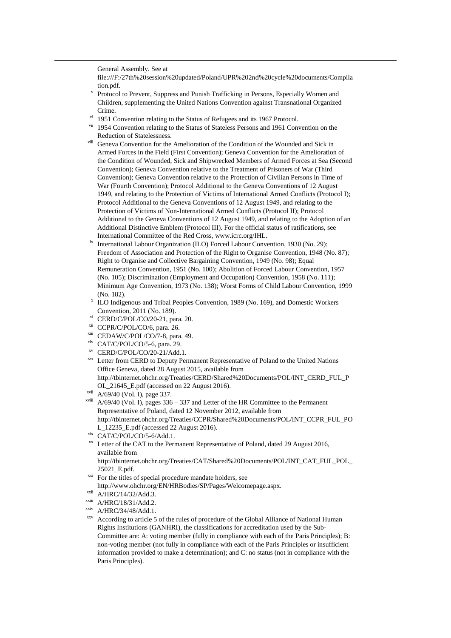General Assembly. See at

1

file:///F:/27th%20session%20updated/Poland/UPR%202nd%20cycle%20documents/Compila tion.pdf.

- v Protocol to Prevent, Suppress and Punish Trafficking in Persons, Especially Women and Children, supplementing the United Nations Convention against Transnational Organized Crime.
- 1951 Convention relating to the Status of Refugees and its 1967 Protocol.
- <sup>vii</sup> 1954 Convention relating to the Status of Stateless Persons and 1961 Convention on the Reduction of Statelessness.
- viii Geneva Convention for the Amelioration of the Condition of the Wounded and Sick in Armed Forces in the Field (First Convention); Geneva Convention for the Amelioration of the Condition of Wounded, Sick and Shipwrecked Members of Armed Forces at Sea (Second Convention); Geneva Convention relative to the Treatment of Prisoners of War (Third Convention); Geneva Convention relative to the Protection of Civilian Persons in Time of War (Fourth Convention); Protocol Additional to the Geneva Conventions of 12 August 1949, and relating to the Protection of Victims of International Armed Conflicts (Protocol I); Protocol Additional to the Geneva Conventions of 12 August 1949, and relating to the Protection of Victims of Non-International Armed Conflicts (Protocol II); Protocol Additional to the Geneva Conventions of 12 August 1949, and relating to the Adoption of an Additional Distinctive Emblem (Protocol III). For the official status of ratifications, see International Committee of the Red Cross, www.icrc.org/IHL.
- <sup>ix</sup> International Labour Organization (ILO) Forced Labour Convention, 1930 (No. 29); Freedom of Association and Protection of the Right to Organise Convention, 1948 (No. 87); Right to Organise and Collective Bargaining Convention, 1949 (No. 98); Equal Remuneration Convention, 1951 (No. 100); Abolition of Forced Labour Convention, 1957 (No. 105); Discrimination (Employment and Occupation) Convention, 1958 (No. 111); Minimum Age Convention, 1973 (No. 138); Worst Forms of Child Labour Convention, 1999 (No. 182).
- x ILO Indigenous and Tribal Peoples Convention, 1989 (No. 169), and Domestic Workers Convention, 2011 (No. 189).
- xi CERD/C/POL/CO/20-21, para. 20.
- xii CCPR/C/POL/CO/6, para. 26.
- xiii CEDAW/C/POL/CO/7-8, para. 49.
- xiv CAT/C/POL/CO/5-6, para. 29.
- xv CERD/C/POL/CO/20-21/Add.1.
- <sup>xvi</sup> Letter from CERD to Deputy Permanent Representative of Poland to the United Nations Office Geneva, dated 28 August 2015, available from [http://tbinternet.ohchr.org/Treaties/CERD/Shared%20Documents/POL/INT\\_CERD\\_FUL\\_P](http://tbinternet.ohchr.org/Treaties/CERD/Shared%20Documents/POL/INT_CERD_FUL_POL_21645_E.pdf) [OL\\_21645\\_E.pdf](http://tbinternet.ohchr.org/Treaties/CERD/Shared%20Documents/POL/INT_CERD_FUL_POL_21645_E.pdf) (accessed on 22 August 2016).
- xvii A/69/40 (Vol. I), page 337.
- $x$ <sup>viii</sup> A/69/40 (Vol. I), pages 336 337 and Letter of the HR Committee to the Permanent Representative of Poland, dated 12 November 2012, available from [http://tbinternet.ohchr.org/Treaties/CCPR/Shared%20Documents/POL/INT\\_CCPR\\_FUL\\_PO](http://tbinternet.ohchr.org/Treaties/CCPR/Shared%20Documents/POL/INT_CCPR_FUL_POL_12235_E.pdf) [L\\_12235\\_E.pdf](http://tbinternet.ohchr.org/Treaties/CCPR/Shared%20Documents/POL/INT_CCPR_FUL_POL_12235_E.pdf) (accessed 22 August 2016).
- $x$ ix CAT/C/POL/CO/5-6/Add.1.
- <sup>xx</sup> Letter of the CAT to the Permanent Representative of Poland, dated 29 August 2016, available from

http://tbinternet.ohchr.org/Treaties/CAT/Shared%20Documents/POL/INT\_CAT\_FUL\_POL\_ 25021\_E.pdf.

- <sup>xxi</sup> For the titles of special procedure mandate holders, see
- http://www.ohchr.org/EN/HRBodies/SP/Pages/Welcomepage.aspx.

 $xxi$  A/HRC/14/32/Add.3.

 $x$ xiii  $A/HRC/18/31/Add.2$ .

 $xxiv$  A/HRC/34/48/Add.1.

xxv According to article 5 of the rules of procedure of the Global Alliance of National Human Rights Institutions (GANHRI), the classifications for accreditation used by the Sub-Committee are: A: voting member (fully in compliance with each of the Paris Principles); B: non-voting member (not fully in compliance with each of the Paris Principles or insufficient information provided to make a determination); and C: no status (not in compliance with the Paris Principles).